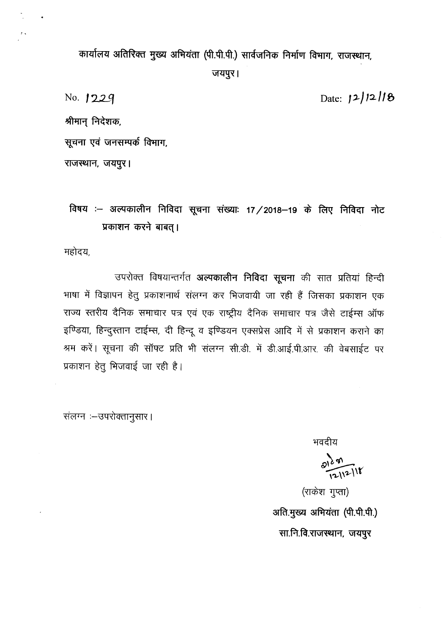कार्यालय अतिरिक्त मुख्य अभियंता (पी.पी.पी.) सार्वजनिक निर्माण विभाग, राजस्थान, जयपुर।

No. **1229** 

Date: *i><sup>J</sup> ":2/1* **f,**

श्रीमान् निदेशक,

**~ ~ \if"itlAlcfl ~,**

राजस्थान, जयपुर।

**<sup>~</sup> 3l(.i'qCf)1C11"i** PI~GI ~ ~: **17/2018-19 ~ ~** PI~GI '""1lc प्रकाशन करने बाबत् ।

महोदय,

उपरोक्त विषयान्तर्गत **अल्पकालीन निविदा सूचना** की सात प्रतियां हिन्दी भाषा में विज्ञापन हेतु प्रकाशनार्थ संलग्न कर भिजवायी जा रही हैं जिसका प्रकाशन एक राज्य स्तरीय दैनिक समाचार पत्र एवं एक राष्ट्रीय दैनिक समाचार पत्र जैसे टाईम्स ऑफ इण्डिया, हिन्दुस्तान टाईम्स, दी हिन्दू व इण्डियन एक्सप्रेस आदि में से प्रकाशन कराने का श्रम करें। सूचना की सॉफ्ट प्रति भी संलग्न सी.डी. में डी.आई.पी.आर. की वेबसाईट पर प्रकाशन हेतु भिजवाई जा रही है।

.<br>संलग्न**ः—उपरोक्तानुसार** ।

भवदीय

 $\frac{2129}{12112118}$ 

(राकेश गुप्ता) अति.मुख्य अभियंता (पी.पी.पी.) सा.नि.वि.राजस्थान, जयपुर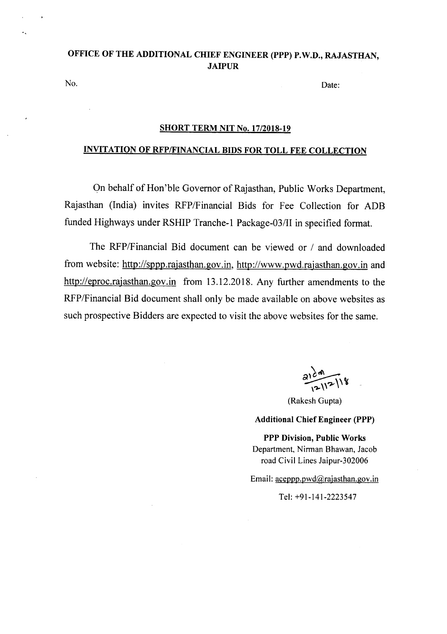### OFFICE OF THE ADDITIONAL CHIEF ENGINEER (PPP) P.W.D., RAJASTHAN, JAIPUR

No. Date:

#### SHORT TERM NIT No. *17/2018-19*

### INVITATION OF RFP/FINANCIAL BIDS FOR TOLL FEE COLLECTION

On behalf of Hon'ble Governor of Rajasthan, Public Works Department, Rajasthan (India) invites RFP/Financial Bids for Fee Collection for ADB funded Highways under RSHIP Tranche-l Package-03/II in specified format.

The RFP/Financial Bid document can be viewed or *I* and downloaded from website: http://sppp.rajasthan.gov.in, http://www.pwd.rajasthan.gov.in and http://eproc.rajasthan.gov.in from 13.12.2018. Any further amendments to the RFP/Financial Bid document shall only be made available on above websites as such prospective Bidders are expected to visit the above websites for the same.

~  $\sqrt{2}$ .

(Rakesh Gupta)

#### Additional Chief Engineer (PPP)

PPP Division, Public Works Department, Nirman Bhawan, Jacob road Civil Lines Jaipur-302006

Email: aceppp.pwd@rajasthan.gov.in

Tel: +91-141-2223547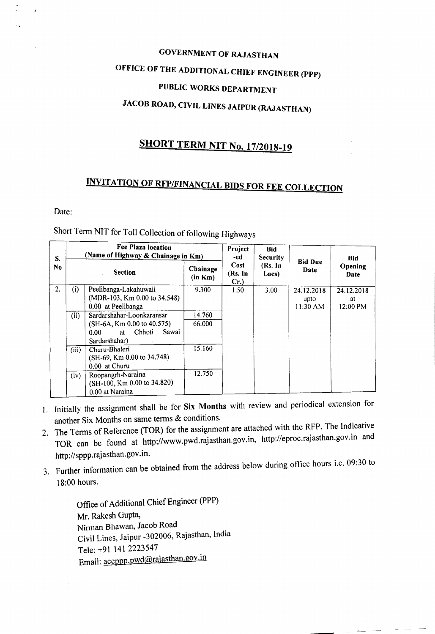# GOVERNMENT OF RAJASTHAN OFFICE OF THE ADDITIONAL CHIEF ENGINEER (PPP) PUBLIC WORKS DEPARTMENT JACOB ROAD, CIVIL LINES JAIPUR (RAJASTHAN)

## SHORT TERM NIT No. *17/2018-19*

# INVITATION OF RFP/FINANCIAL BIDS FOR FEE COLLECTION

Date:

## Short Term NIT for Toll Collection of following Highways

| S.             | Fee Plaza location<br>(Name of Highway & Chainage in Km) |                                                                                                                          |                     | Project<br>-ed             | <b>Bid</b><br>Security |                                | <b>Bid</b>                   |
|----------------|----------------------------------------------------------|--------------------------------------------------------------------------------------------------------------------------|---------------------|----------------------------|------------------------|--------------------------------|------------------------------|
| N <sub>0</sub> | <b>Section</b>                                           |                                                                                                                          | Chainage<br>(in Km) | Cost<br>(Rs. In<br>$Cr.$ ) | (Rs. In<br>Lacs)       | <b>Bid Due</b><br>Date         | Opening<br>Date              |
| 2.             | (i)                                                      | Peelibanga-Lakahuwali<br>$(MDR-103, Km 0.00 to 34.548)$<br>0.00 at Peelibanga                                            | 9.300               | 1.50                       | 3.00                   | 24.12.2018<br>upto<br>11:30 AM | 24.12.2018<br>at<br>12:00 PM |
|                | (iii)                                                    | Sardarshahar-Loonkaransar<br>$(SH-6A, Km 0.00 to 40.575)$<br>Chhoti<br>Sawai<br>0.00 <sub>1</sub><br>at<br>Sardarshahar) | 14.760<br>66.000    |                            |                        |                                |                              |
|                | (iii)                                                    | Churu-Bhaleri<br>$(SH-69, Km 0.00 to 34.748)$<br>0.00 at Churu                                                           | 15.160              |                            |                        |                                |                              |
|                | (iv)                                                     | Roopangrh-Naraina<br>(SH-100, Km 0.00 to 34.820)<br>0.00 at Naraina                                                      | 12.750              |                            |                        |                                |                              |

- I. Initially the assignment shall be for Six Months with review and periodical extension for another Six Months on same terms & conditions.
- 2. The Terms of Reference (TOR) for the assignment are attached with the RFP. The Indicative TOR can be found at http://www.pwd.rajasthan.gov.in, http://eproc.rajasthan.gov.in and http://sppp.rajasthan.gov .in.
- 3. Further information can be obtained from the address below during office hours i.e. 09:30 to 18:00 hours.

---

Office of Additional Chief Engineer (PPP) Mr. Rakesh Gupta, Nirman Bhawan, Jacob Road Civil Lines, Jaipur -302006, Rajasthan, India Tele: +91 1412223547 Email: aceppp.pwd@rajasthan.gov.in